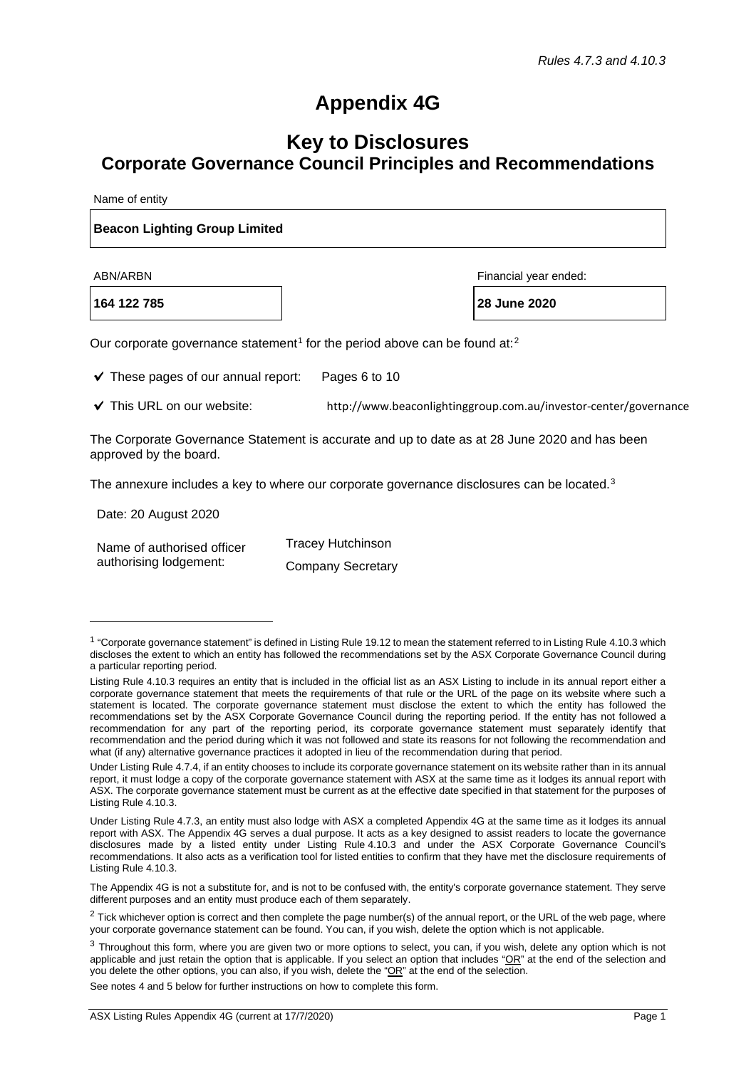## **Appendix 4G**

## **Key to Disclosures Corporate Governance Council Principles and Recommendations**

Name of entity

## **Beacon Lighting Group Limited**

**164 122 785 28 June 2020**

ABN/ARBN Financial year ended:

Our corporate governance statement<sup>[1](#page-0-0)</sup> for the period above can be found at:<sup>[2](#page-0-1)</sup>

 $\checkmark$  These pages of our annual report: Pages 6 to 10

◆ This URL on our website: http://www.beaconlightinggroup.com.au/investor-center/governance

The Corporate Governance Statement is accurate and up to date as at 28 June 2020 and has been approved by the board.

The annexure includes a key to where our corporate governance disclosures can be located.<sup>[3](#page-0-2)</sup>

Date: 20 August 2020 Name of authorised officer authorising lodgement: Tracey Hutchinson Company Secretary

See notes 4 and 5 below for further instructions on how to complete this form.

<span id="page-0-0"></span> $1$  "Corporate governance statement" is defined in Listing Rule 19.12 to mean the statement referred to in Listing Rule 4.10.3 which discloses the extent to which an entity has followed the recommendations set by the ASX Corporate Governance Council during a particular reporting period.

Listing Rule 4.10.3 requires an entity that is included in the official list as an ASX Listing to include in its annual report either a corporate governance statement that meets the requirements of that rule or the URL of the page on its website where such a statement is located. The corporate governance statement must disclose the extent to which the entity has followed the recommendations set by the ASX Corporate Governance Council during the reporting period. If the entity has not followed a recommendation for any part of the reporting period, its corporate governance statement must separately identify that recommendation and the period during which it was not followed and state its reasons for not following the recommendation and what (if any) alternative governance practices it adopted in lieu of the recommendation during that period.

Under Listing Rule 4.7.4, if an entity chooses to include its corporate governance statement on its website rather than in its annual report, it must lodge a copy of the corporate governance statement with ASX at the same time as it lodges its annual report with ASX. The corporate governance statement must be current as at the effective date specified in that statement for the purposes of Listing Rule 4.10.3.

Under Listing Rule 4.7.3, an entity must also lodge with ASX a completed Appendix 4G at the same time as it lodges its annual report with ASX. The Appendix 4G serves a dual purpose. It acts as a key designed to assist readers to locate the governance disclosures made by a listed entity under Listing Rule 4.10.3 and under the ASX Corporate Governance Council's recommendations. It also acts as a verification tool for listed entities to confirm that they have met the disclosure requirements of Listing Rule 4.10.3.

The Appendix 4G is not a substitute for, and is not to be confused with, the entity's corporate governance statement. They serve different purposes and an entity must produce each of them separately.

<span id="page-0-1"></span><sup>&</sup>lt;sup>2</sup> Tick whichever option is correct and then complete the page number(s) of the annual report, or the URL of the web page, where your corporate governance statement can be found. You can, if you wish, delete the option which is not applicable.

<span id="page-0-2"></span><sup>&</sup>lt;sup>3</sup> Throughout this form, where you are given two or more options to select, you can, if you wish, delete any option which is not applicable and just retain the option that is applicable. If you select an option that includes " $OR$ " at the end of the selection and you delete the other options, you can also, if you wish, delete the "OR" at the end of the selection.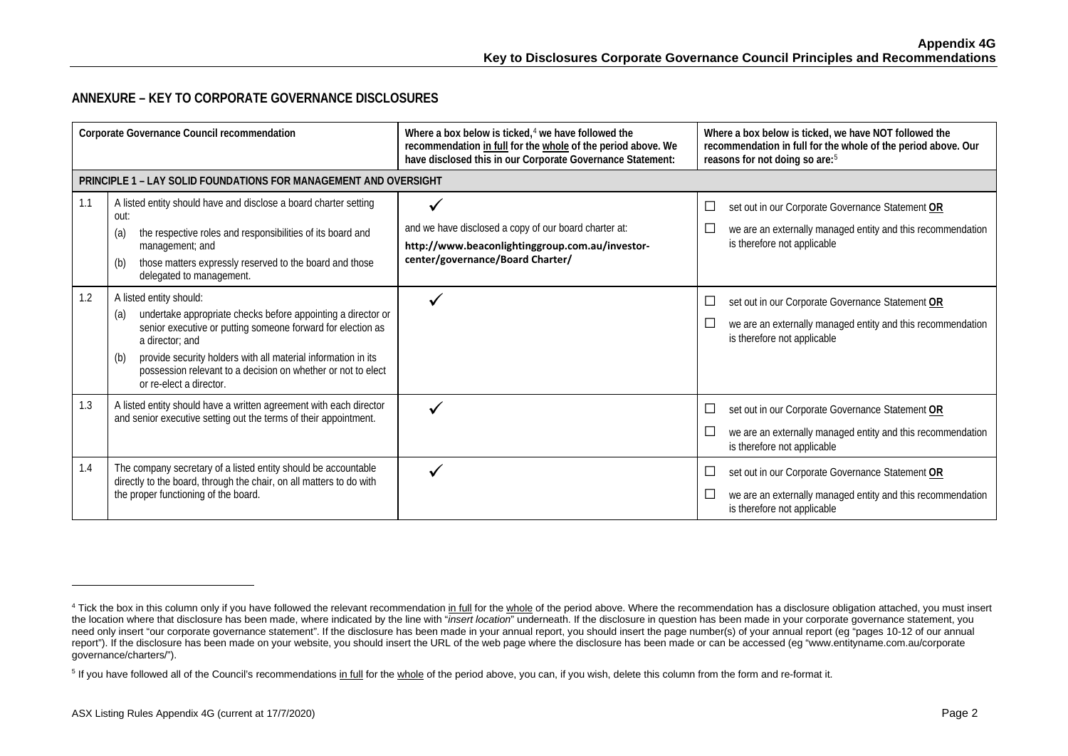## <span id="page-1-1"></span><span id="page-1-0"></span>**ANNEXURE – KEY TO CORPORATE GOVERNANCE DISCLOSURES**

| Corporate Governance Council recommendation |                                                                                                                                                                                                                                                                                                                                                     | Where a box below is ticked, $4$ we have followed the<br>recommendation in full for the whole of the period above. We<br>have disclosed this in our Corporate Governance Statement: | Where a box below is ticked, we have NOT followed the<br>recommendation in full for the whole of the period above. Our<br>reasons for not doing so are: <sup>5</sup> |
|---------------------------------------------|-----------------------------------------------------------------------------------------------------------------------------------------------------------------------------------------------------------------------------------------------------------------------------------------------------------------------------------------------------|-------------------------------------------------------------------------------------------------------------------------------------------------------------------------------------|----------------------------------------------------------------------------------------------------------------------------------------------------------------------|
|                                             | <b>PRINCIPLE 1 - LAY SOLID FOUNDATIONS FOR MANAGEMENT AND OVERSIGHT</b>                                                                                                                                                                                                                                                                             |                                                                                                                                                                                     |                                                                                                                                                                      |
| 1.1                                         | A listed entity should have and disclose a board charter setting<br>out:<br>the respective roles and responsibilities of its board and<br>(a)<br>management; and<br>those matters expressly reserved to the board and those<br>(b)<br>delegated to management.                                                                                      | and we have disclosed a copy of our board charter at:<br>http://www.beaconlightinggroup.com.au/investor-<br>center/governance/Board Charter/                                        | set out in our Corporate Governance Statement OR<br>⊔<br>we are an externally managed entity and this recommendation<br>is therefore not applicable                  |
| 1.2                                         | A listed entity should:<br>undertake appropriate checks before appointing a director or<br>(a)<br>senior executive or putting someone forward for election as<br>a director: and<br>provide security holders with all material information in its<br>(b)<br>possession relevant to a decision on whether or not to elect<br>or re-elect a director. |                                                                                                                                                                                     | set out in our Corporate Governance Statement OR<br>└<br>we are an externally managed entity and this recommendation<br>$\Box$<br>is therefore not applicable        |
| 1.3                                         | A listed entity should have a written agreement with each director<br>and senior executive setting out the terms of their appointment.                                                                                                                                                                                                              |                                                                                                                                                                                     | set out in our Corporate Governance Statement OR<br>L<br>we are an externally managed entity and this recommendation<br>is therefore not applicable                  |
| 1.4                                         | The company secretary of a listed entity should be accountable<br>directly to the board, through the chair, on all matters to do with<br>the proper functioning of the board.                                                                                                                                                                       |                                                                                                                                                                                     | set out in our Corporate Governance Statement OR<br>└<br>we are an externally managed entity and this recommendation<br>$\Box$<br>is therefore not applicable        |

<sup>&</sup>lt;sup>4</sup> Tick the box in this column only if you have followed the relevant recommendation in full for the whole of the period above. Where the recommendation has a disclosure obligation attached, you must insert the location where that disclosure has been made, where indicated by the line with "*insert location*" underneath. If the disclosure in question has been made in your corporate governance statement, you need only insert "our corporate governance statement". If the disclosure has been made in your annual report, you should insert the page number(s) of your annual report (eg "pages 10-12 of our annual report"). If the disclosure has been made on your website, you should insert the URL of the web page where the disclosure has been made or can be accessed (eg "www.entityname.com.au/corporate governance/charters/").

<sup>&</sup>lt;sup>5</sup> If you have followed all of the Council's recommendations in full for the whole of the period above, you can, if you wish, delete this column from the form and re-format it.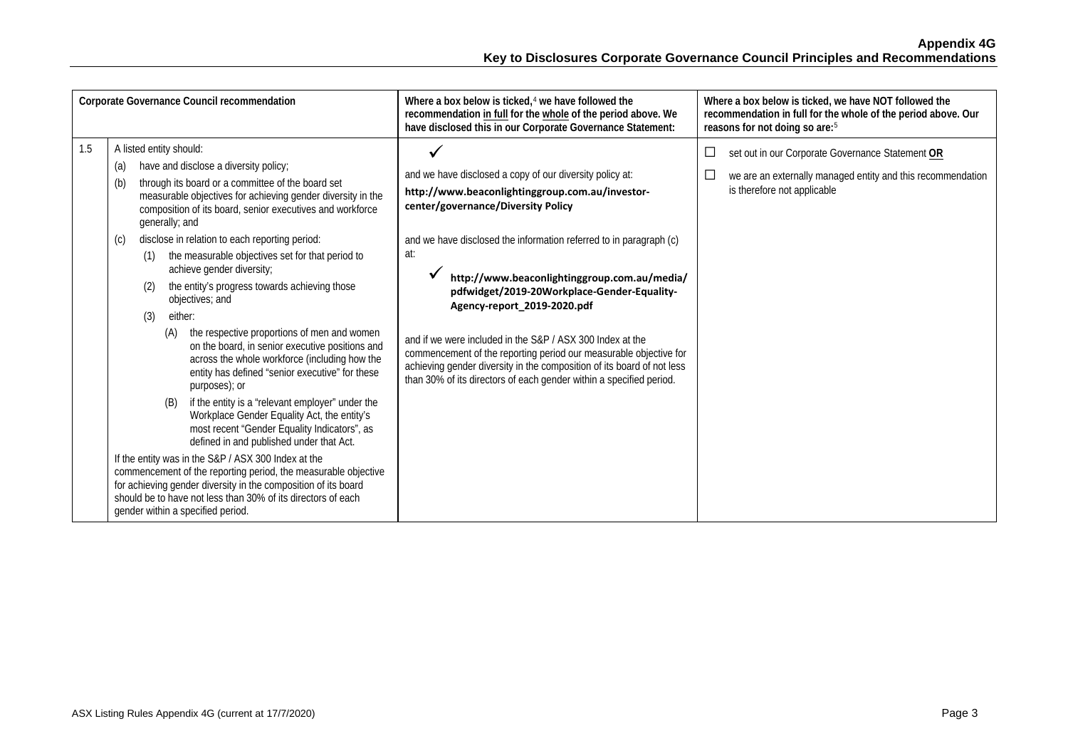| Corporate Governance Council recommendation |                                                                                                                                                                                                                                                                                                                                                                                                                                                                                                                                                                                                                                                                                                                                                                                                                                                                                                                                                                                                                                                                                                                                                                                                                                                                                    | Where a box below is ticked. <sup>4</sup> we have followed the<br>recommendation in full for the whole of the period above. We<br>have disclosed this in our Corporate Governance Statement:                                                                                                                                                                                                                                                                                                                                                                                                                                                    | Where a box below is ticked, we have NOT followed the<br>recommendation in full for the whole of the period above. Our<br>reasons for not doing so are: <sup>5</sup>                 |
|---------------------------------------------|------------------------------------------------------------------------------------------------------------------------------------------------------------------------------------------------------------------------------------------------------------------------------------------------------------------------------------------------------------------------------------------------------------------------------------------------------------------------------------------------------------------------------------------------------------------------------------------------------------------------------------------------------------------------------------------------------------------------------------------------------------------------------------------------------------------------------------------------------------------------------------------------------------------------------------------------------------------------------------------------------------------------------------------------------------------------------------------------------------------------------------------------------------------------------------------------------------------------------------------------------------------------------------|-------------------------------------------------------------------------------------------------------------------------------------------------------------------------------------------------------------------------------------------------------------------------------------------------------------------------------------------------------------------------------------------------------------------------------------------------------------------------------------------------------------------------------------------------------------------------------------------------------------------------------------------------|--------------------------------------------------------------------------------------------------------------------------------------------------------------------------------------|
| 1.5                                         | A listed entity should:<br>have and disclose a diversity policy;<br>(a)<br>through its board or a committee of the board set<br>(b)<br>measurable objectives for achieving gender diversity in the<br>composition of its board, senior executives and workforce<br>generally; and<br>disclose in relation to each reporting period:<br>$\left( 0 \right)$<br>the measurable objectives set for that period to<br>(1)<br>achieve gender diversity;<br>the entity's progress towards achieving those<br>(2)<br>objectives; and<br>either:<br>(3)<br>the respective proportions of men and women<br>(A)<br>on the board, in senior executive positions and<br>across the whole workforce (including how the<br>entity has defined "senior executive" for these<br>purposes); or<br>if the entity is a "relevant employer" under the<br>(B)<br>Workplace Gender Equality Act, the entity's<br>most recent "Gender Equality Indicators", as<br>defined in and published under that Act.<br>If the entity was in the S&P / ASX 300 Index at the<br>commencement of the reporting period, the measurable objective<br>for achieving gender diversity in the composition of its board<br>should be to have not less than 30% of its directors of each<br>gender within a specified period. | and we have disclosed a copy of our diversity policy at:<br>http://www.beaconlightinggroup.com.au/investor-<br>center/governance/Diversity Policy<br>and we have disclosed the information referred to in paragraph (c)<br>at:<br>http://www.beaconlightinggroup.com.au/media/<br>pdfwidget/2019-20Workplace-Gender-Equality-<br>Agency-report_2019-2020.pdf<br>and if we were included in the S&P / ASX 300 Index at the<br>commencement of the reporting period our measurable objective for<br>achieving gender diversity in the composition of its board of not less<br>than 30% of its directors of each gender within a specified period. | $\Box$<br>set out in our Corporate Governance Statement OR<br>we are an externally managed entity and this recommendation<br>$\overline{\phantom{a}}$<br>is therefore not applicable |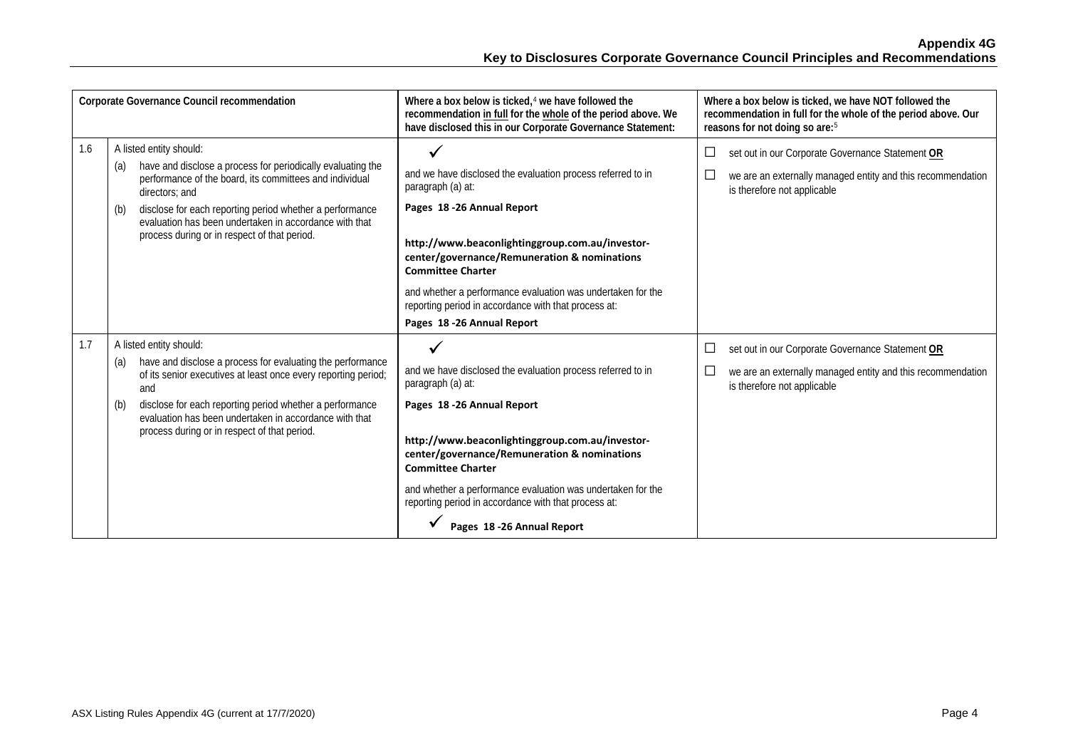| Corporate Governance Council recommendation |                                                                                                                                                                                                                                                                                                                                                         | Where a box below is ticked, $4$ we have followed the<br>recommendation in full for the whole of the period above. We<br>have disclosed this in our Corporate Governance Statement:                                                                                                                                                                                                                                | Where a box below is ticked, we have NOT followed the<br>recommendation in full for the whole of the period above. Our<br>reasons for not doing so are: <sup>5</sup>            |
|---------------------------------------------|---------------------------------------------------------------------------------------------------------------------------------------------------------------------------------------------------------------------------------------------------------------------------------------------------------------------------------------------------------|--------------------------------------------------------------------------------------------------------------------------------------------------------------------------------------------------------------------------------------------------------------------------------------------------------------------------------------------------------------------------------------------------------------------|---------------------------------------------------------------------------------------------------------------------------------------------------------------------------------|
| 1.6                                         | A listed entity should:<br>have and disclose a process for periodically evaluating the<br>(a)<br>performance of the board, its committees and individual<br>directors; and<br>disclose for each reporting period whether a performance<br>(b)<br>evaluation has been undertaken in accordance with that<br>process during or in respect of that period. | $\checkmark$<br>and we have disclosed the evaluation process referred to in<br>paragraph (a) at:<br>Pages 18 -26 Annual Report<br>http://www.beaconlightinggroup.com.au/investor-<br>center/governance/Remuneration & nominations<br><b>Committee Charter</b><br>and whether a performance evaluation was undertaken for the<br>reporting period in accordance with that process at:<br>Pages 18 -26 Annual Report | set out in our Corporate Governance Statement OR<br>$\Box$<br>$\Box$<br>we are an externally managed entity and this recommendation<br>is therefore not applicable              |
| 1.7                                         | A listed entity should:<br>have and disclose a process for evaluating the performance<br>(a)<br>of its senior executives at least once every reporting period;<br>and<br>disclose for each reporting period whether a performance<br>(b)<br>evaluation has been undertaken in accordance with that<br>process during or in respect of that period.      | and we have disclosed the evaluation process referred to in<br>paragraph (a) at:<br>Pages 18 -26 Annual Report<br>http://www.beaconlightinggroup.com.au/investor-<br>center/governance/Remuneration & nominations<br><b>Committee Charter</b><br>and whether a performance evaluation was undertaken for the<br>reporting period in accordance with that process at:<br>Pages 18 - 26 Annual Report                | ⊔<br>set out in our Corporate Governance Statement OR<br>$\overline{\phantom{a}}$<br>we are an externally managed entity and this recommendation<br>is therefore not applicable |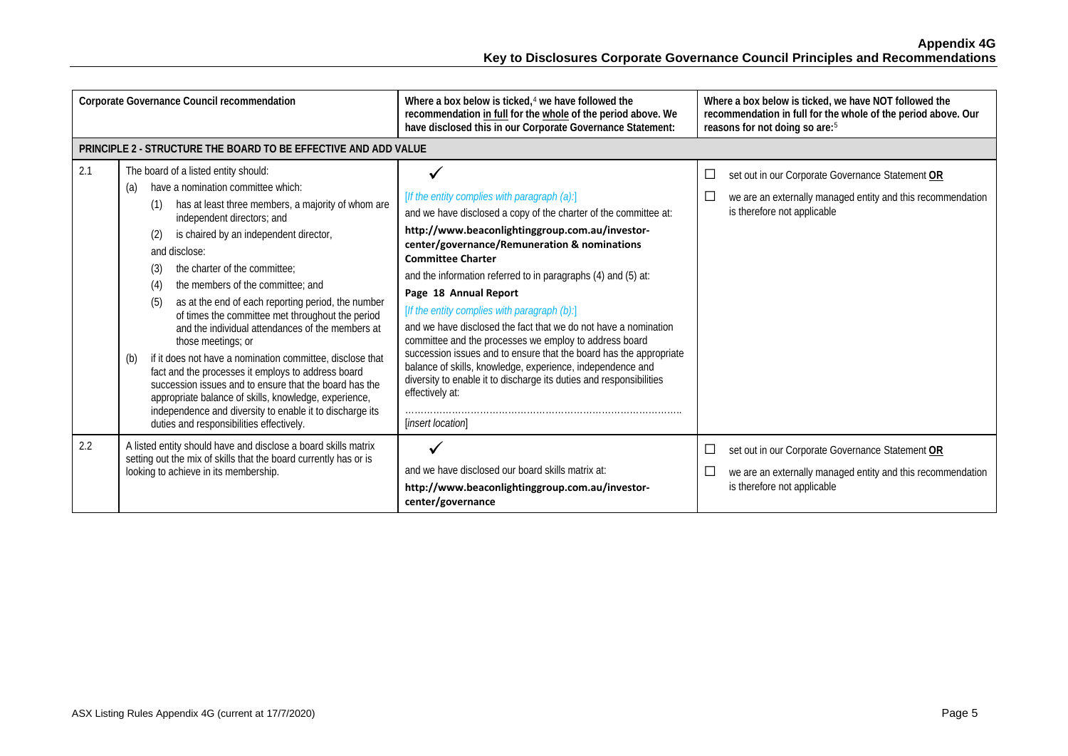**Appendix 4G Key to Disclosures Corporate Governance Council Principles and Recommendations**

|     | Corporate Governance Council recommendation                                                                                                                                                                                                                                                                                                                                                                                                                                                                                                                                                                                                                                                                                                                                                                                                                                        | Where a box below is ticked. <sup>4</sup> we have followed the<br>recommendation in full for the whole of the period above. We<br>have disclosed this in our Corporate Governance Statement:                                                                                                                                                                                                                                                                                                                                                                                                                                                                                                                                                                              | Where a box below is ticked, we have NOT followed the<br>recommendation in full for the whole of the period above. Our<br>reasons for not doing so are: <sup>5</sup>       |
|-----|------------------------------------------------------------------------------------------------------------------------------------------------------------------------------------------------------------------------------------------------------------------------------------------------------------------------------------------------------------------------------------------------------------------------------------------------------------------------------------------------------------------------------------------------------------------------------------------------------------------------------------------------------------------------------------------------------------------------------------------------------------------------------------------------------------------------------------------------------------------------------------|---------------------------------------------------------------------------------------------------------------------------------------------------------------------------------------------------------------------------------------------------------------------------------------------------------------------------------------------------------------------------------------------------------------------------------------------------------------------------------------------------------------------------------------------------------------------------------------------------------------------------------------------------------------------------------------------------------------------------------------------------------------------------|----------------------------------------------------------------------------------------------------------------------------------------------------------------------------|
|     | PRINCIPLE 2 - STRUCTURE THE BOARD TO BE EFFECTIVE AND ADD VALUE                                                                                                                                                                                                                                                                                                                                                                                                                                                                                                                                                                                                                                                                                                                                                                                                                    |                                                                                                                                                                                                                                                                                                                                                                                                                                                                                                                                                                                                                                                                                                                                                                           |                                                                                                                                                                            |
| 2.1 | The board of a listed entity should:<br>have a nomination committee which:<br>(a)<br>has at least three members, a majority of whom are<br>(1)<br>independent directors; and<br>is chaired by an independent director,<br>(2)<br>and disclose:<br>the charter of the committee:<br>(3)<br>the members of the committee: and<br>(4)<br>(5)<br>as at the end of each reporting period, the number<br>of times the committee met throughout the period<br>and the individual attendances of the members at<br>those meetings; or<br>if it does not have a nomination committee, disclose that<br>(b)<br>fact and the processes it employs to address board<br>succession issues and to ensure that the board has the<br>appropriate balance of skills, knowledge, experience,<br>independence and diversity to enable it to discharge its<br>duties and responsibilities effectively. | [If the entity complies with paragraph (a):]<br>and we have disclosed a copy of the charter of the committee at:<br>http://www.beaconlightinggroup.com.au/investor-<br>center/governance/Remuneration & nominations<br><b>Committee Charter</b><br>and the information referred to in paragraphs (4) and (5) at:<br>Page 18 Annual Report<br>[If the entity complies with paragraph (b):]<br>and we have disclosed the fact that we do not have a nomination<br>committee and the processes we employ to address board<br>succession issues and to ensure that the board has the appropriate<br>balance of skills, knowledge, experience, independence and<br>diversity to enable it to discharge its duties and responsibilities<br>effectively at:<br>[insert location] | set out in our Corporate Governance Statement OR<br>$\overline{\phantom{a}}$<br>we are an externally managed entity and this recommendation<br>is therefore not applicable |
| 2.2 | A listed entity should have and disclose a board skills matrix<br>setting out the mix of skills that the board currently has or is<br>looking to achieve in its membership.                                                                                                                                                                                                                                                                                                                                                                                                                                                                                                                                                                                                                                                                                                        | and we have disclosed our board skills matrix at:<br>http://www.beaconlightinggroup.com.au/investor-<br>center/governance                                                                                                                                                                                                                                                                                                                                                                                                                                                                                                                                                                                                                                                 | set out in our Corporate Governance Statement OR<br>⊔<br>we are an externally managed entity and this recommendation<br>$\Box$<br>is therefore not applicable              |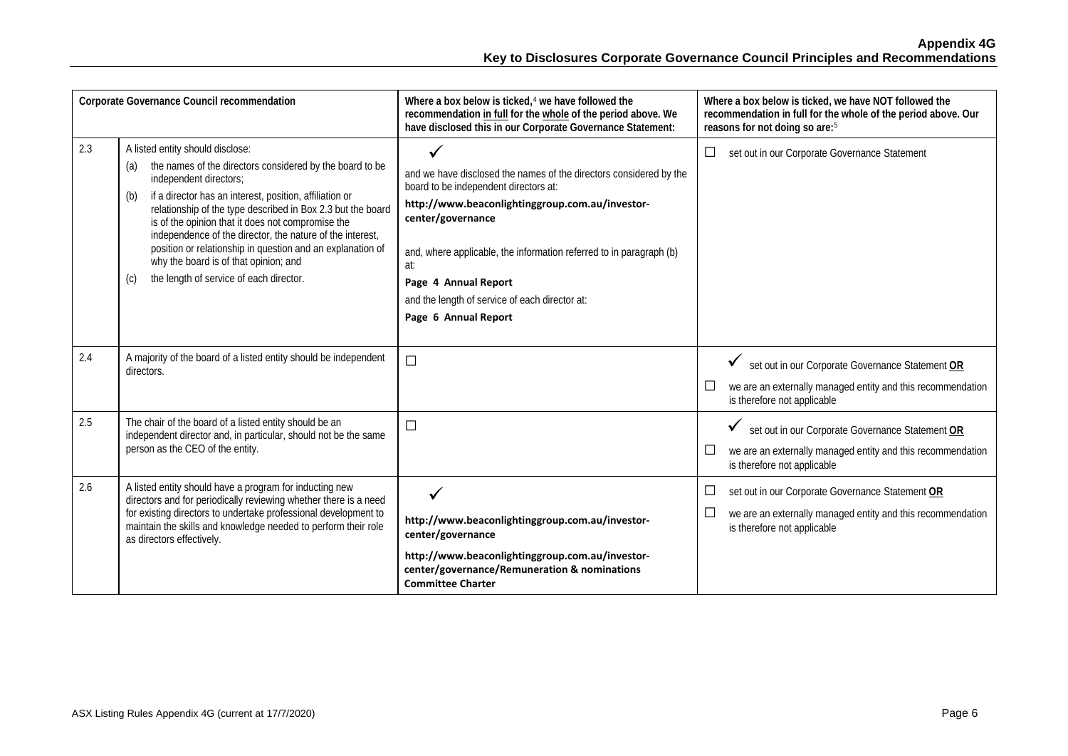| Corporate Governance Council recommendation |                                                                                                                                                                                                                                                                                                                                                                                                                                                                                                                                           | Where a box below is ticked, <sup>4</sup> we have followed the<br>recommendation in full for the whole of the period above. We<br>have disclosed this in our Corporate Governance Statement:                                                                                                                                                                                        | Where a box below is ticked, we have NOT followed the<br>recommendation in full for the whole of the period above. Our<br>reasons for not doing so are: <sup>5</sup>                    |
|---------------------------------------------|-------------------------------------------------------------------------------------------------------------------------------------------------------------------------------------------------------------------------------------------------------------------------------------------------------------------------------------------------------------------------------------------------------------------------------------------------------------------------------------------------------------------------------------------|-------------------------------------------------------------------------------------------------------------------------------------------------------------------------------------------------------------------------------------------------------------------------------------------------------------------------------------------------------------------------------------|-----------------------------------------------------------------------------------------------------------------------------------------------------------------------------------------|
| 2.3                                         | A listed entity should disclose:<br>the names of the directors considered by the board to be<br>(a)<br>independent directors;<br>if a director has an interest, position, affiliation or<br>(b)<br>relationship of the type described in Box 2.3 but the board<br>is of the opinion that it does not compromise the<br>independence of the director, the nature of the interest,<br>position or relationship in question and an explanation of<br>why the board is of that opinion; and<br>the length of service of each director.<br>(c) | $\checkmark$<br>and we have disclosed the names of the directors considered by the<br>board to be independent directors at:<br>http://www.beaconlightinggroup.com.au/investor-<br>center/governance<br>and, where applicable, the information referred to in paragraph (b)<br>at:<br>Page 4 Annual Report<br>and the length of service of each director at:<br>Page 6 Annual Report | $\Box$<br>set out in our Corporate Governance Statement                                                                                                                                 |
| 2.4                                         | A majority of the board of a listed entity should be independent<br>directors.                                                                                                                                                                                                                                                                                                                                                                                                                                                            | $\Box$                                                                                                                                                                                                                                                                                                                                                                              | set out in our Corporate Governance Statement OR<br>we are an externally managed entity and this recommendation<br>$\Box$<br>is therefore not applicable                                |
| 2.5                                         | The chair of the board of a listed entity should be an<br>independent director and, in particular, should not be the same<br>person as the CEO of the entity.                                                                                                                                                                                                                                                                                                                                                                             | $\Box$                                                                                                                                                                                                                                                                                                                                                                              | set out in our Corporate Governance Statement OR<br>$\checkmark$<br>we are an externally managed entity and this recommendation<br>is therefore not applicable                          |
| 2.6                                         | A listed entity should have a program for inducting new<br>directors and for periodically reviewing whether there is a need<br>for existing directors to undertake professional development to<br>maintain the skills and knowledge needed to perform their role<br>as directors effectively.                                                                                                                                                                                                                                             | $\checkmark$<br>http://www.beaconlightinggroup.com.au/investor-<br>center/governance<br>http://www.beaconlightinggroup.com.au/investor-<br>center/governance/Remuneration & nominations<br><b>Committee Charter</b>                                                                                                                                                                 | set out in our Corporate Governance Statement OR<br>$\Box$<br>we are an externally managed entity and this recommendation<br>$\mathcal{L}_{\mathcal{A}}$<br>is therefore not applicable |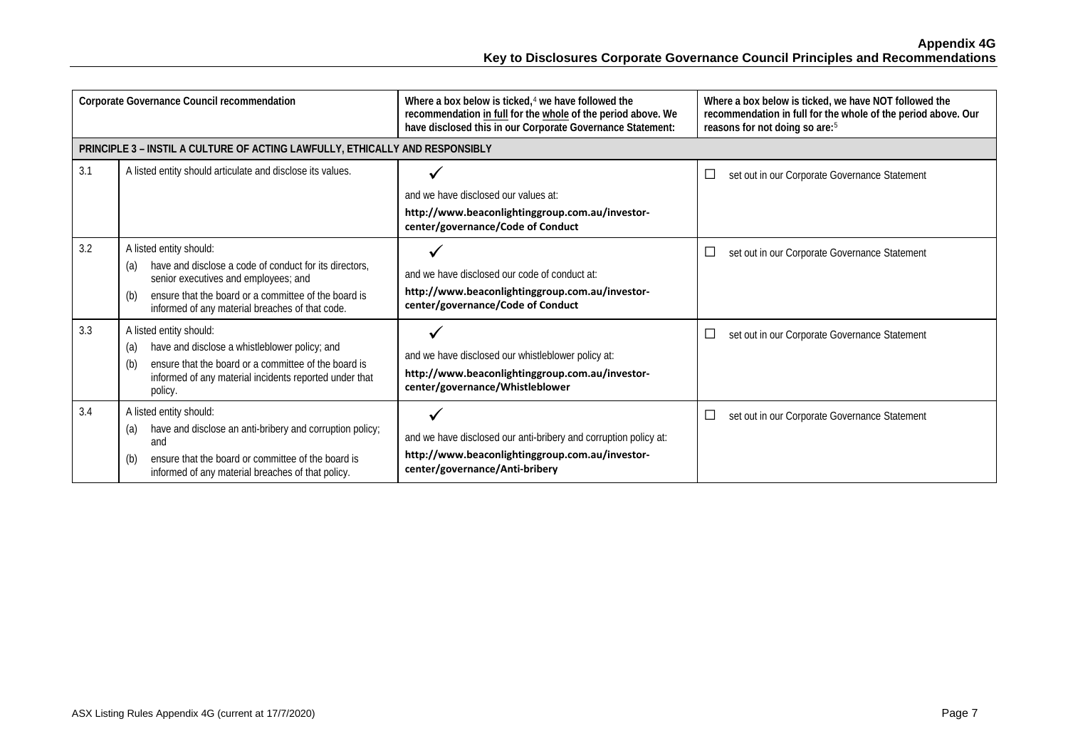**Appendix 4G Key to Disclosures Corporate Governance Council Principles and Recommendations**

| Corporate Governance Council recommendation |                                                                                                                                                                                                                                                    | Where a box below is ticked, $4$ we have followed the<br>recommendation in full for the whole of the period above. We<br>have disclosed this in our Corporate Governance Statement: | Where a box below is ticked, we have NOT followed the<br>recommendation in full for the whole of the period above. Our<br>reasons for not doing so are: <sup>5</sup> |
|---------------------------------------------|----------------------------------------------------------------------------------------------------------------------------------------------------------------------------------------------------------------------------------------------------|-------------------------------------------------------------------------------------------------------------------------------------------------------------------------------------|----------------------------------------------------------------------------------------------------------------------------------------------------------------------|
|                                             | PRINCIPLE 3 - INSTIL A CULTURE OF ACTING LAWFULLY, ETHICALLY AND RESPONSIBLY                                                                                                                                                                       |                                                                                                                                                                                     |                                                                                                                                                                      |
| 3.1                                         | A listed entity should articulate and disclose its values.                                                                                                                                                                                         | and we have disclosed our values at:<br>http://www.beaconlightinggroup.com.au/investor-<br>center/governance/Code of Conduct                                                        | $\Box$<br>set out in our Corporate Governance Statement                                                                                                              |
| 3.2                                         | A listed entity should:<br>have and disclose a code of conduct for its directors.<br>(a)<br>senior executives and employees; and<br>ensure that the board or a committee of the board is<br>(b)<br>informed of any material breaches of that code. | and we have disclosed our code of conduct at:<br>http://www.beaconlightinggroup.com.au/investor-<br>center/governance/Code of Conduct                                               | $\Box$<br>set out in our Corporate Governance Statement                                                                                                              |
| 3.3                                         | A listed entity should:<br>have and disclose a whistleblower policy; and<br>(a)<br>ensure that the board or a committee of the board is<br>(b)<br>informed of any material incidents reported under that<br>policy.                                | and we have disclosed our whistleblower policy at:<br>http://www.beaconlightinggroup.com.au/investor-<br>center/governance/Whistleblower                                            | $\Box$<br>set out in our Corporate Governance Statement                                                                                                              |
| 3.4                                         | A listed entity should:<br>have and disclose an anti-bribery and corruption policy;<br>(a)<br>and<br>ensure that the board or committee of the board is<br>(b)<br>informed of any material breaches of that policy.                                | and we have disclosed our anti-bribery and corruption policy at:<br>http://www.beaconlightinggroup.com.au/investor-<br>center/governance/Anti-bribery                               | $\Box$<br>set out in our Corporate Governance Statement                                                                                                              |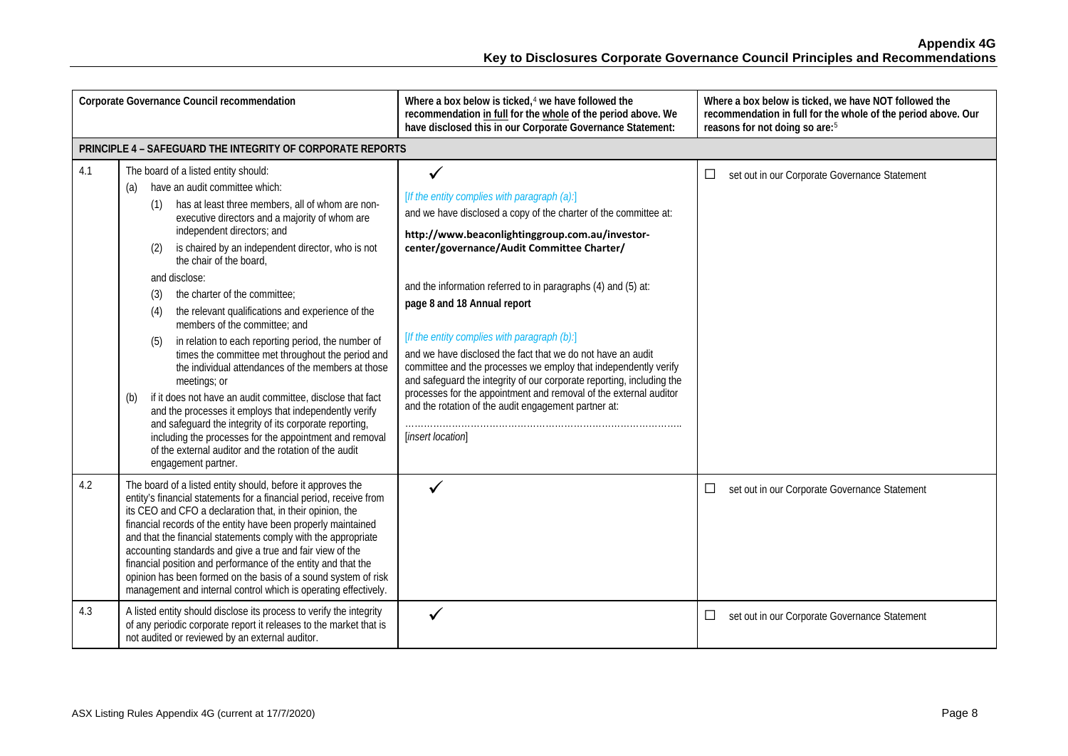| Corporate Governance Council recommendation |                                                                                                                                                                                                                                                                                                                                                                                                                                                                                                                                                                                                                                                                                                                                                                                                                                                                                                                                                                                                     | Where a box below is ticked, <sup>4</sup> we have followed the<br>recommendation in full for the whole of the period above. We<br>have disclosed this in our Corporate Governance Statement:                                                                                                                                                                                                                                                                                                                                                                                                                                                                                                                                        | Where a box below is ticked, we have NOT followed the<br>recommendation in full for the whole of the period above. Our<br>reasons for not doing so are: <sup>5</sup> |
|---------------------------------------------|-----------------------------------------------------------------------------------------------------------------------------------------------------------------------------------------------------------------------------------------------------------------------------------------------------------------------------------------------------------------------------------------------------------------------------------------------------------------------------------------------------------------------------------------------------------------------------------------------------------------------------------------------------------------------------------------------------------------------------------------------------------------------------------------------------------------------------------------------------------------------------------------------------------------------------------------------------------------------------------------------------|-------------------------------------------------------------------------------------------------------------------------------------------------------------------------------------------------------------------------------------------------------------------------------------------------------------------------------------------------------------------------------------------------------------------------------------------------------------------------------------------------------------------------------------------------------------------------------------------------------------------------------------------------------------------------------------------------------------------------------------|----------------------------------------------------------------------------------------------------------------------------------------------------------------------|
|                                             | PRINCIPLE 4 - SAFEGUARD THE INTEGRITY OF CORPORATE REPORTS                                                                                                                                                                                                                                                                                                                                                                                                                                                                                                                                                                                                                                                                                                                                                                                                                                                                                                                                          |                                                                                                                                                                                                                                                                                                                                                                                                                                                                                                                                                                                                                                                                                                                                     |                                                                                                                                                                      |
| 4.1                                         | The board of a listed entity should:<br>have an audit committee which:<br>(a)<br>has at least three members, all of whom are non-<br>(1)<br>executive directors and a majority of whom are<br>independent directors; and<br>is chaired by an independent director, who is not<br>(2)<br>the chair of the board,<br>and disclose:<br>the charter of the committee:<br>(3)<br>the relevant qualifications and experience of the<br>(4)<br>members of the committee: and<br>in relation to each reporting period, the number of<br>(5)<br>times the committee met throughout the period and<br>the individual attendances of the members at those<br>meetings; or<br>if it does not have an audit committee, disclose that fact<br>(b)<br>and the processes it employs that independently verify<br>and safeguard the integrity of its corporate reporting,<br>including the processes for the appointment and removal<br>of the external auditor and the rotation of the audit<br>engagement partner. | ✓<br>[If the entity complies with paragraph (a):]<br>and we have disclosed a copy of the charter of the committee at:<br>http://www.beaconlightinggroup.com.au/investor-<br>center/governance/Audit Committee Charter/<br>and the information referred to in paragraphs (4) and (5) at:<br>page 8 and 18 Annual report<br>[If the entity complies with paragraph (b):]<br>and we have disclosed the fact that we do not have an audit<br>committee and the processes we employ that independently verify<br>and safeguard the integrity of our corporate reporting, including the<br>processes for the appointment and removal of the external auditor<br>and the rotation of the audit engagement partner at:<br>[insert location] | $\Box$<br>set out in our Corporate Governance Statement                                                                                                              |
| 4.2                                         | The board of a listed entity should, before it approves the<br>entity's financial statements for a financial period, receive from<br>its CEO and CFO a declaration that, in their opinion, the<br>financial records of the entity have been properly maintained<br>and that the financial statements comply with the appropriate<br>accounting standards and give a true and fair view of the<br>financial position and performance of the entity and that the<br>opinion has been formed on the basis of a sound system of risk<br>management and internal control which is operating effectively.                                                                                                                                                                                                                                                                                                                                                                                                 | ✓                                                                                                                                                                                                                                                                                                                                                                                                                                                                                                                                                                                                                                                                                                                                   | $\Box$<br>set out in our Corporate Governance Statement                                                                                                              |
| 4.3                                         | A listed entity should disclose its process to verify the integrity<br>of any periodic corporate report it releases to the market that is<br>not audited or reviewed by an external auditor.                                                                                                                                                                                                                                                                                                                                                                                                                                                                                                                                                                                                                                                                                                                                                                                                        | $\checkmark$                                                                                                                                                                                                                                                                                                                                                                                                                                                                                                                                                                                                                                                                                                                        | □<br>set out in our Corporate Governance Statement                                                                                                                   |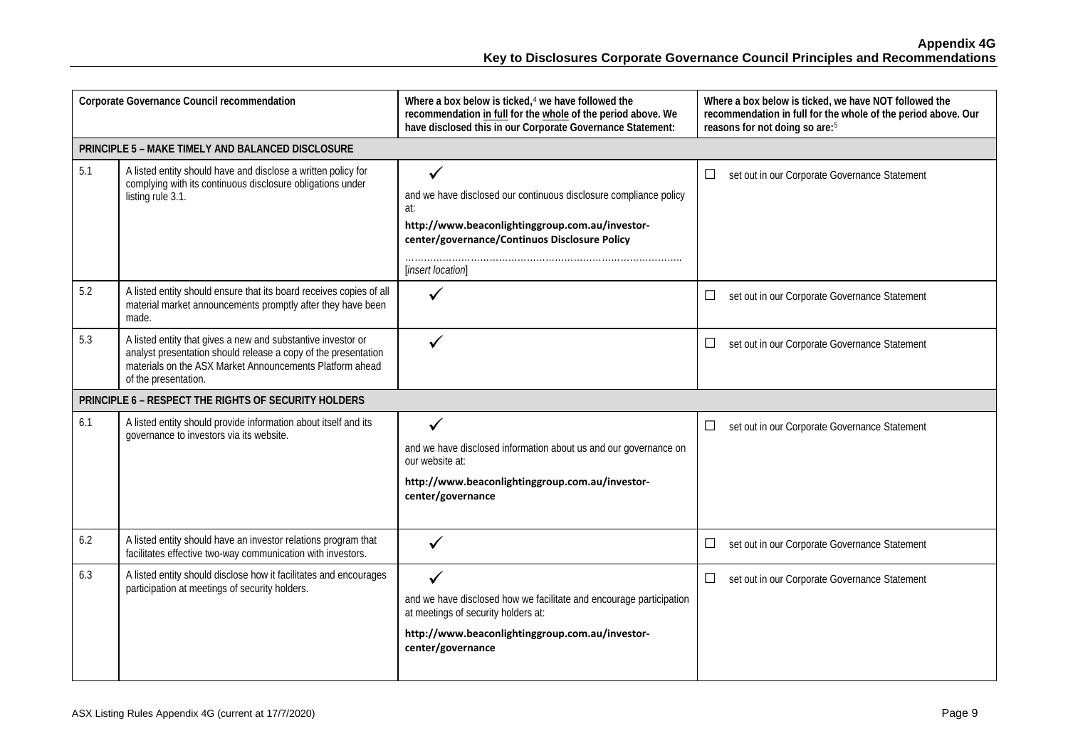| Corporate Governance Council recommendation |                                                                                                                                                                                                                    | Where a box below is ticked, <sup>4</sup> we have followed the<br>recommendation in full for the whole of the period above. We<br>have disclosed this in our Corporate Governance Statement:           | Where a box below is ticked, we have NOT followed the<br>recommendation in full for the whole of the period above. Our<br>reasons for not doing so are: <sup>5</sup> |
|---------------------------------------------|--------------------------------------------------------------------------------------------------------------------------------------------------------------------------------------------------------------------|--------------------------------------------------------------------------------------------------------------------------------------------------------------------------------------------------------|----------------------------------------------------------------------------------------------------------------------------------------------------------------------|
|                                             | PRINCIPLE 5 - MAKE TIMELY AND BALANCED DISCLOSURE                                                                                                                                                                  |                                                                                                                                                                                                        |                                                                                                                                                                      |
| 5.1                                         | A listed entity should have and disclose a written policy for<br>complying with its continuous disclosure obligations under<br>listing rule 3.1.                                                                   | ✓<br>and we have disclosed our continuous disclosure compliance policy<br>at:<br>http://www.beaconlightinggroup.com.au/investor-<br>center/governance/Continuos Disclosure Policy<br>[insert location] | set out in our Corporate Governance Statement<br>$\Box$                                                                                                              |
| 5.2                                         | A listed entity should ensure that its board receives copies of all<br>material market announcements promptly after they have been<br>made.                                                                        | $\checkmark$                                                                                                                                                                                           | set out in our Corporate Governance Statement<br>$\Box$                                                                                                              |
| 5.3                                         | A listed entity that gives a new and substantive investor or<br>analyst presentation should release a copy of the presentation<br>materials on the ASX Market Announcements Platform ahead<br>of the presentation. | $\checkmark$                                                                                                                                                                                           | set out in our Corporate Governance Statement<br>$\Box$                                                                                                              |
|                                             | PRINCIPLE 6 - RESPECT THE RIGHTS OF SECURITY HOLDERS                                                                                                                                                               |                                                                                                                                                                                                        |                                                                                                                                                                      |
| 6.1                                         | A listed entity should provide information about itself and its<br>governance to investors via its website.                                                                                                        | and we have disclosed information about us and our governance on<br>our website at:<br>http://www.beaconlightinggroup.com.au/investor-<br>center/governance                                            | set out in our Corporate Governance Statement<br>$\Box$                                                                                                              |
| 6.2                                         | A listed entity should have an investor relations program that<br>facilitates effective two-way communication with investors.                                                                                      |                                                                                                                                                                                                        | set out in our Corporate Governance Statement<br>$\Box$                                                                                                              |
| 6.3                                         | A listed entity should disclose how it facilitates and encourages<br>participation at meetings of security holders.                                                                                                | and we have disclosed how we facilitate and encourage participation<br>at meetings of security holders at:<br>http://www.beaconlightinggroup.com.au/investor-<br>center/governance                     | set out in our Corporate Governance Statement<br>$\Box$                                                                                                              |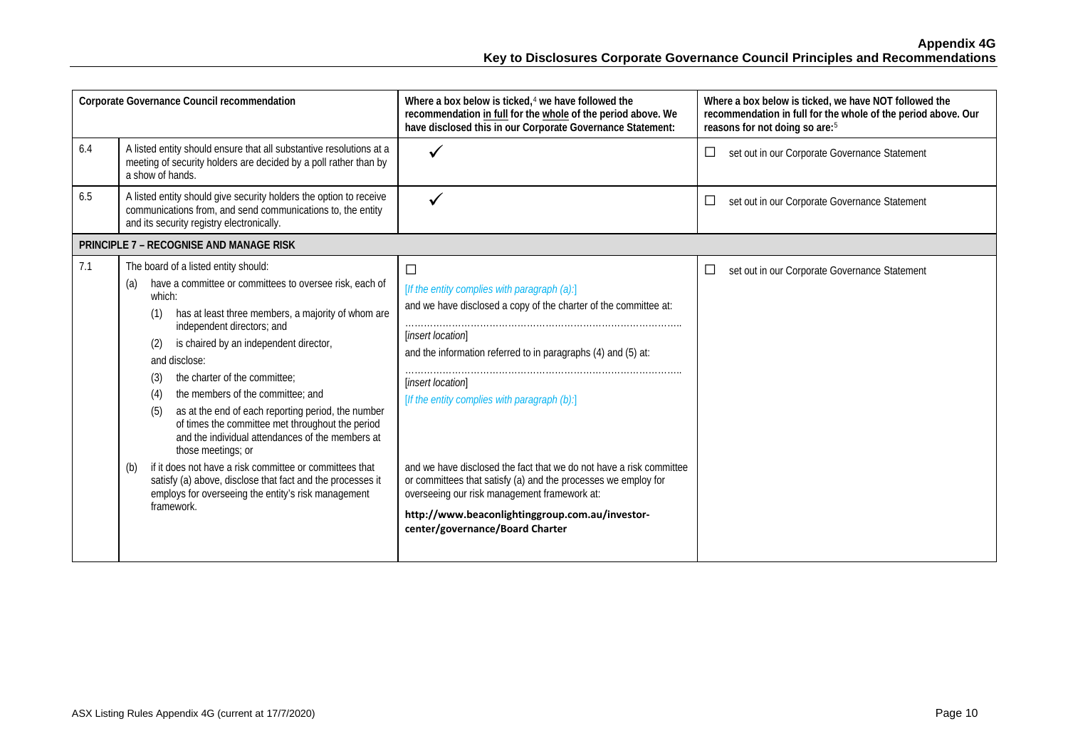| have disclosed this in our Corporate Governance Statement:                                                                                                                                                                                                                                                                                                                                                                                                                     | recommendation in full for the whole of the period above. Our<br>reasons for not doing so are: <sup>5</sup> |
|--------------------------------------------------------------------------------------------------------------------------------------------------------------------------------------------------------------------------------------------------------------------------------------------------------------------------------------------------------------------------------------------------------------------------------------------------------------------------------|-------------------------------------------------------------------------------------------------------------|
| $\checkmark$                                                                                                                                                                                                                                                                                                                                                                                                                                                                   | $\Box$<br>set out in our Corporate Governance Statement                                                     |
|                                                                                                                                                                                                                                                                                                                                                                                                                                                                                | set out in our Corporate Governance Statement<br>$\overline{\phantom{a}}$                                   |
|                                                                                                                                                                                                                                                                                                                                                                                                                                                                                |                                                                                                             |
| $\Box$<br>[If the entity complies with paragraph (a):]<br>and we have disclosed a copy of the charter of the committee at:<br>[insert location]<br>and the information referred to in paragraphs (4) and (5) at:<br>[insert location]<br>[If the entity complies with paragraph (b):]<br>and we have disclosed the fact that we do not have a risk committee<br>or committees that satisfy (a) and the processes we employ for<br>overseeing our risk management framework at: | $\overline{\phantom{a}}$<br>set out in our Corporate Governance Statement                                   |
|                                                                                                                                                                                                                                                                                                                                                                                                                                                                                | http://www.beaconlightinggroup.com.au/investor-<br>center/governance/Board Charter                          |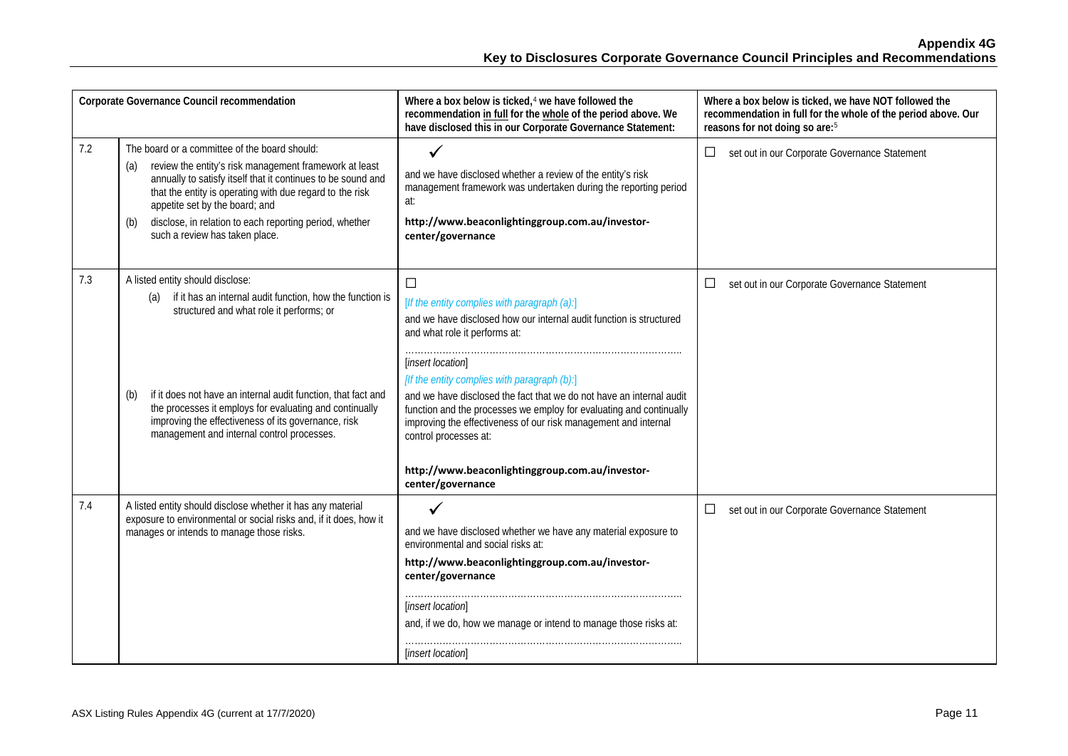| Corporate Governance Council recommendation |                                                                                                                                                                                                                                                                                                                                                                                          | Where a box below is ticked, <sup>4</sup> we have followed the<br>recommendation in full for the whole of the period above. We<br>have disclosed this in our Corporate Governance Statement:                                                                                                                                                                                                                                                                                                                                                           | Where a box below is ticked, we have NOT followed the<br>recommendation in full for the whole of the period above. Our<br>reasons for not doing so are: <sup>5</sup> |
|---------------------------------------------|------------------------------------------------------------------------------------------------------------------------------------------------------------------------------------------------------------------------------------------------------------------------------------------------------------------------------------------------------------------------------------------|--------------------------------------------------------------------------------------------------------------------------------------------------------------------------------------------------------------------------------------------------------------------------------------------------------------------------------------------------------------------------------------------------------------------------------------------------------------------------------------------------------------------------------------------------------|----------------------------------------------------------------------------------------------------------------------------------------------------------------------|
| 7.2                                         | The board or a committee of the board should:<br>review the entity's risk management framework at least<br>(a)<br>annually to satisfy itself that it continues to be sound and<br>that the entity is operating with due regard to the risk<br>appetite set by the board; and<br>disclose, in relation to each reporting period, whether<br>(b)<br>such a review has taken place.         | $\checkmark$<br>and we have disclosed whether a review of the entity's risk<br>management framework was undertaken during the reporting period<br>at:<br>http://www.beaconlightinggroup.com.au/investor-<br>center/governance                                                                                                                                                                                                                                                                                                                          | □<br>set out in our Corporate Governance Statement                                                                                                                   |
| 7.3                                         | A listed entity should disclose:<br>if it has an internal audit function, how the function is<br>(a)<br>structured and what role it performs; or<br>if it does not have an internal audit function, that fact and<br>(b)<br>the processes it employs for evaluating and continually<br>improving the effectiveness of its governance, risk<br>management and internal control processes. | $\Box$<br>[If the entity complies with paragraph (a):]<br>and we have disclosed how our internal audit function is structured<br>and what role it performs at:<br>[insert location]<br>[If the entity complies with paragraph (b):]<br>and we have disclosed the fact that we do not have an internal audit<br>function and the processes we employ for evaluating and continually<br>improving the effectiveness of our risk management and internal<br>control processes at:<br>http://www.beaconlightinggroup.com.au/investor-<br>center/governance | set out in our Corporate Governance Statement<br>□                                                                                                                   |
| 7.4                                         | A listed entity should disclose whether it has any material<br>exposure to environmental or social risks and, if it does, how it<br>manages or intends to manage those risks.                                                                                                                                                                                                            | and we have disclosed whether we have any material exposure to<br>environmental and social risks at:<br>http://www.beaconlightinggroup.com.au/investor-<br>center/governance<br>[insert location]<br>and, if we do, how we manage or intend to manage those risks at:<br>[insert location]                                                                                                                                                                                                                                                             | set out in our Corporate Governance Statement<br>$\Box$                                                                                                              |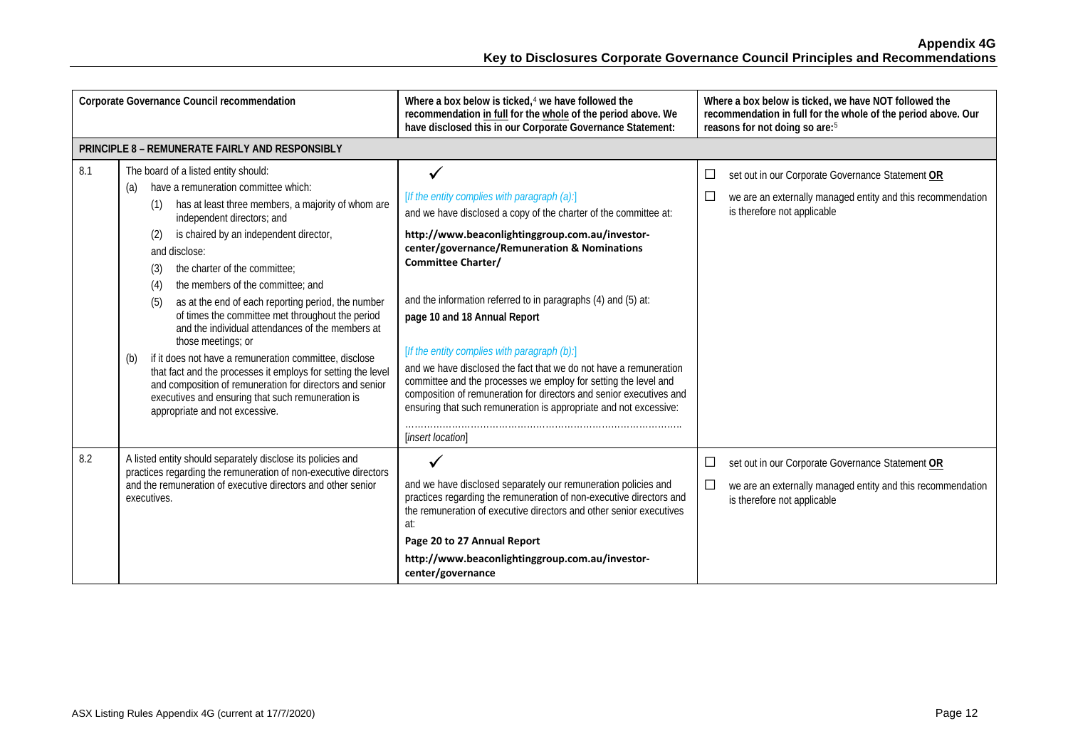|     | Corporate Governance Council recommendation                                                                                                                                                                                                                                                                                                                                                                                                                                                                                                                                                                                                                                                                                                                                                                         | Where a box below is ticked, $4$ we have followed the<br>recommendation in full for the whole of the period above. We<br>have disclosed this in our Corporate Governance Statement:                                                                                                                                                                                                                                                                                                                                                                                                                                                                                                                        | Where a box below is ticked, we have NOT followed the<br>recommendation in full for the whole of the period above. Our<br>reasons for not doing so are: <sup>5</sup>                    |
|-----|---------------------------------------------------------------------------------------------------------------------------------------------------------------------------------------------------------------------------------------------------------------------------------------------------------------------------------------------------------------------------------------------------------------------------------------------------------------------------------------------------------------------------------------------------------------------------------------------------------------------------------------------------------------------------------------------------------------------------------------------------------------------------------------------------------------------|------------------------------------------------------------------------------------------------------------------------------------------------------------------------------------------------------------------------------------------------------------------------------------------------------------------------------------------------------------------------------------------------------------------------------------------------------------------------------------------------------------------------------------------------------------------------------------------------------------------------------------------------------------------------------------------------------------|-----------------------------------------------------------------------------------------------------------------------------------------------------------------------------------------|
|     | PRINCIPLE 8 - REMUNERATE FAIRLY AND RESPONSIBLY                                                                                                                                                                                                                                                                                                                                                                                                                                                                                                                                                                                                                                                                                                                                                                     |                                                                                                                                                                                                                                                                                                                                                                                                                                                                                                                                                                                                                                                                                                            |                                                                                                                                                                                         |
| 8.1 | The board of a listed entity should:<br>have a remuneration committee which:<br>(a)<br>has at least three members, a majority of whom are<br>(1)<br>independent directors; and<br>is chaired by an independent director,<br>(2)<br>and disclose:<br>the charter of the committee:<br>(3)<br>the members of the committee; and<br>(4)<br>as at the end of each reporting period, the number<br>(5)<br>of times the committee met throughout the period<br>and the individual attendances of the members at<br>those meetings; or<br>if it does not have a remuneration committee, disclose<br>(b)<br>that fact and the processes it employs for setting the level<br>and composition of remuneration for directors and senior<br>executives and ensuring that such remuneration is<br>appropriate and not excessive. | [If the entity complies with paragraph (a):]<br>and we have disclosed a copy of the charter of the committee at:<br>http://www.beaconlightinggroup.com.au/investor-<br>center/governance/Remuneration & Nominations<br><b>Committee Charter/</b><br>and the information referred to in paragraphs (4) and (5) at:<br>page 10 and 18 Annual Report<br>[If the entity complies with paragraph (b):]<br>and we have disclosed the fact that we do not have a remuneration<br>committee and the processes we employ for setting the level and<br>composition of remuneration for directors and senior executives and<br>ensuring that such remuneration is appropriate and not excessive:<br>[insert location] | set out in our Corporate Governance Statement OR<br>$\mathcal{L}_{\mathcal{A}}$<br>$\Box$<br>we are an externally managed entity and this recommendation<br>is therefore not applicable |
| 8.2 | A listed entity should separately disclose its policies and<br>practices regarding the remuneration of non-executive directors<br>and the remuneration of executive directors and other senior<br>executives.                                                                                                                                                                                                                                                                                                                                                                                                                                                                                                                                                                                                       | and we have disclosed separately our remuneration policies and<br>practices regarding the remuneration of non-executive directors and<br>the remuneration of executive directors and other senior executives<br>at:<br>Page 20 to 27 Annual Report<br>http://www.beaconlightinggroup.com.au/investor-<br>center/governance                                                                                                                                                                                                                                                                                                                                                                                 | set out in our Corporate Governance Statement OR<br>$\Box$<br>$\Box$<br>we are an externally managed entity and this recommendation<br>is therefore not applicable                      |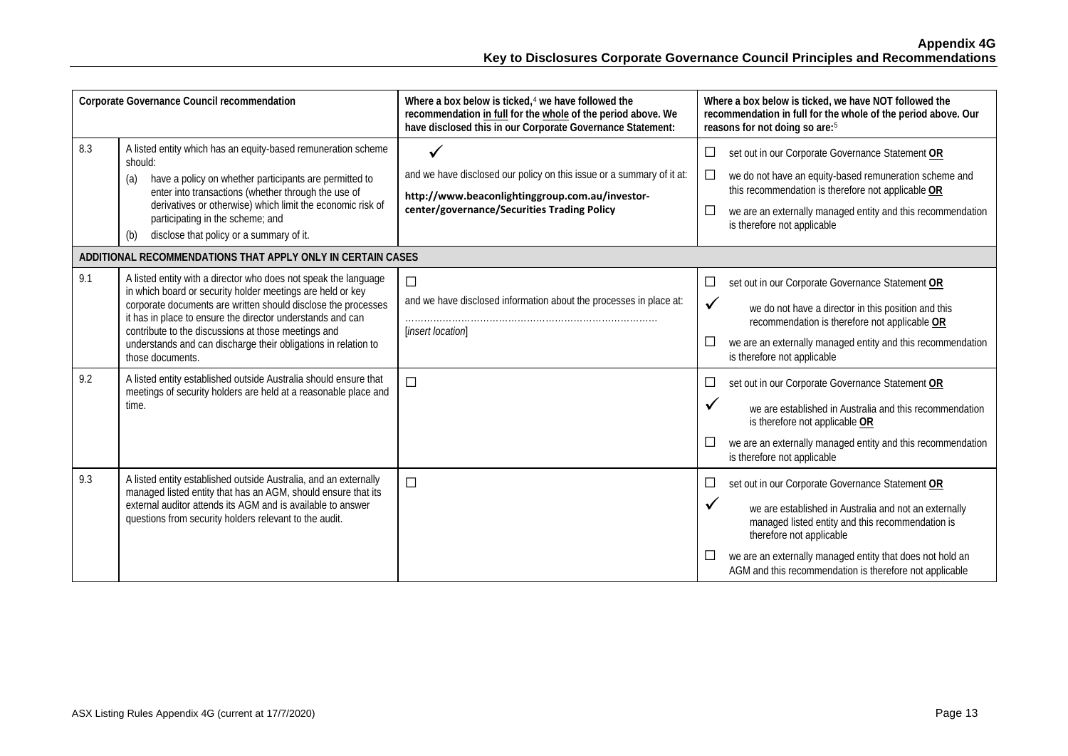| Corporate Governance Council recommendation |                                                                                                                                                                                                                                                                                                                                                                                                                                                                                                                                                           | Where a box below is ticked, <sup>4</sup> we have followed the<br>recommendation in full for the whole of the period above. We<br>have disclosed this in our Corporate Governance Statement: | Where a box below is ticked, we have NOT followed the<br>recommendation in full for the whole of the period above. Our<br>reasons for not doing so are: <sup>5</sup>                                                                                                                                                                                                                                                                                                  |
|---------------------------------------------|-----------------------------------------------------------------------------------------------------------------------------------------------------------------------------------------------------------------------------------------------------------------------------------------------------------------------------------------------------------------------------------------------------------------------------------------------------------------------------------------------------------------------------------------------------------|----------------------------------------------------------------------------------------------------------------------------------------------------------------------------------------------|-----------------------------------------------------------------------------------------------------------------------------------------------------------------------------------------------------------------------------------------------------------------------------------------------------------------------------------------------------------------------------------------------------------------------------------------------------------------------|
| 8.3                                         | A listed entity which has an equity-based remuneration scheme<br>should:<br>have a policy on whether participants are permitted to<br>(a)<br>enter into transactions (whether through the use of<br>derivatives or otherwise) which limit the economic risk of<br>participating in the scheme; and<br>disclose that policy or a summary of it.<br>(b)                                                                                                                                                                                                     | ✓<br>and we have disclosed our policy on this issue or a summary of it at:<br>http://www.beaconlightinggroup.com.au/investor-<br>center/governance/Securities Trading Policy                 | $\Box$<br>set out in our Corporate Governance Statement OR<br>$\Box$<br>we do not have an equity-based remuneration scheme and<br>this recommendation is therefore not applicable OR<br>$\Box$<br>we are an externally managed entity and this recommendation<br>is therefore not applicable                                                                                                                                                                          |
|                                             | ADDITIONAL RECOMMENDATIONS THAT APPLY ONLY IN CERTAIN CASES                                                                                                                                                                                                                                                                                                                                                                                                                                                                                               |                                                                                                                                                                                              |                                                                                                                                                                                                                                                                                                                                                                                                                                                                       |
| 9.1<br>9.2                                  | A listed entity with a director who does not speak the language<br>in which board or security holder meetings are held or key<br>corporate documents are written should disclose the processes<br>it has in place to ensure the director understands and can<br>contribute to the discussions at those meetings and<br>understands and can discharge their obligations in relation to<br>those documents.<br>A listed entity established outside Australia should ensure that<br>meetings of security holders are held at a reasonable place and<br>time. | $\Box$<br>and we have disclosed information about the processes in place at:<br>[insert location]<br>$\Box$                                                                                  | $\Box$<br>set out in our Corporate Governance Statement OR<br>$\checkmark$<br>we do not have a director in this position and this<br>recommendation is therefore not applicable OR<br>$\Box$<br>we are an externally managed entity and this recommendation<br>is therefore not applicable<br>$\Box$<br>set out in our Corporate Governance Statement OR<br>$\checkmark$<br>we are established in Australia and this recommendation<br>is therefore not applicable OR |
|                                             |                                                                                                                                                                                                                                                                                                                                                                                                                                                                                                                                                           |                                                                                                                                                                                              | $\Box$<br>we are an externally managed entity and this recommendation<br>is therefore not applicable                                                                                                                                                                                                                                                                                                                                                                  |
| 9.3                                         | A listed entity established outside Australia, and an externally<br>managed listed entity that has an AGM, should ensure that its<br>external auditor attends its AGM and is available to answer<br>questions from security holders relevant to the audit.                                                                                                                                                                                                                                                                                                | $\Box$                                                                                                                                                                                       | set out in our Corporate Governance Statement OR<br>$\Box$<br>$\checkmark$<br>we are established in Australia and not an externally<br>managed listed entity and this recommendation is<br>therefore not applicable<br>we are an externally managed entity that does not hold an<br>AGM and this recommendation is therefore not applicable                                                                                                                           |